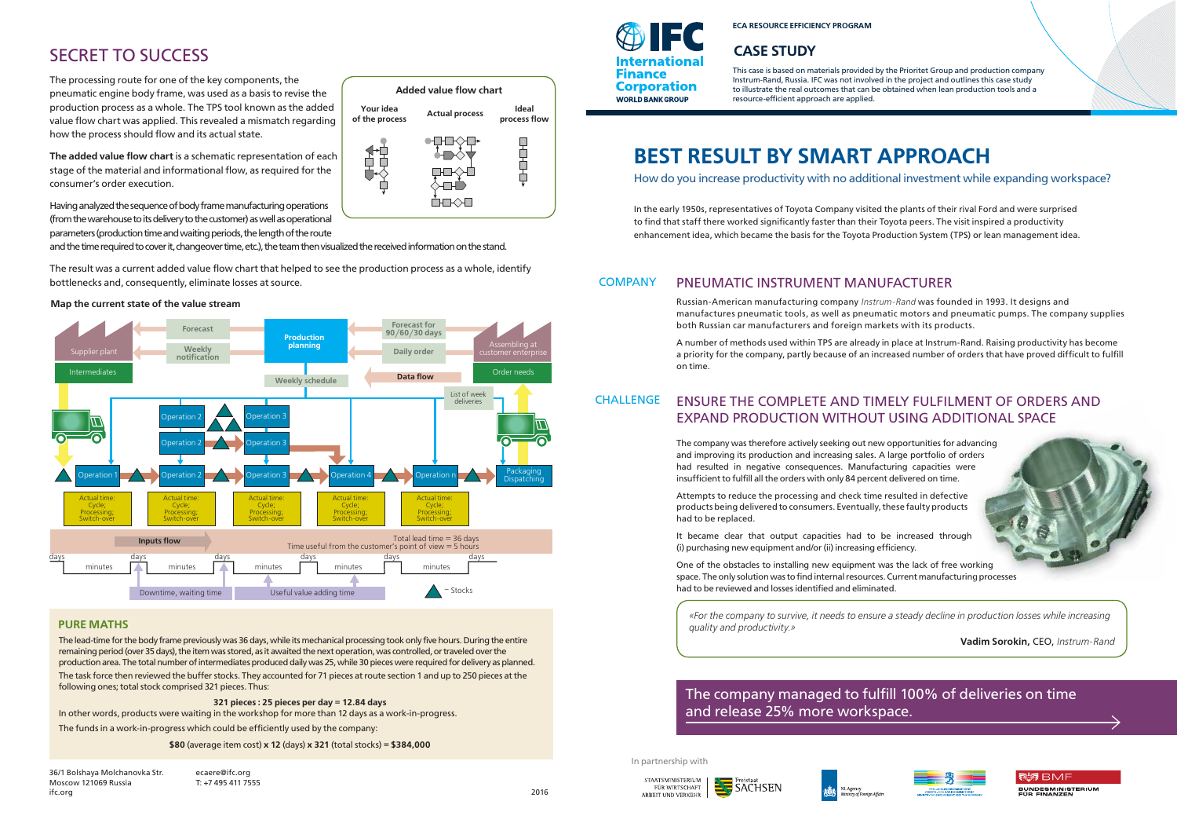# **BEST RESULT BY SMART APPROACH**

How do you increase productivity with no additional investment while expanding workspace?

In the early 1950s, representatives of Toyota Company visited the plants of their rival Ford and were surprised to find that staff there worked significantly faster than their Toyota peers. The visit inspired a productivity enhancement idea, which became the basis for the Toyota Production System (TPS) or lean management idea.

Russian-American manufacturing company *Instrum-Rand* was founded in 1993. It designs and manufactures pneumatic tools, as well as pneumatic motors and pneumatic pumps. The company supplies both Russian car manufacturers and foreign markets with its products.

A number of methods used within TPS are already in place at Instrum-Rand. Raising productivity has become a priority for the company, partly because of an increased number of orders that have proved difficult to fulfill on time.

### **CHALLENGE** ENSURE THE COMPLETE AND TIMELY FULFILMENT OF ORDERS AND EXPAND PRODUCTION WITHOUT USING ADDITIONAL SPACE

The company was therefore actively seeking out new opportunities for advancing and improving its production and increasing sales. A large portfolio of orders had resulted in negative consequences. Manufacturing capacities were insufficient to fulfill all the orders with only 84 percent delivered on time. ers<br>e<br>rking

#### **COMPANY** PNEUMATIC INSTRUMENT MANUFACTURER

Attempts to reduce the processing and check time resulted in defective products being delivered to consumers. Eventually, these faulty products had to be replaced.

It became clear that output capacities had to be increased through (i) purchasing new equipment and/or (ii) increasing efficiency.

One of the obstacles to installing new equipment was the lack of free working One of the obstacles to installing new equipment was the lack of free working<br>space. The only solution was to find internal resources. Current manufacturing processes had to be reviewed and losses identified and eliminated.

36/1 Bolshaya Molchanovka Str. Moscow 121069 Russia ifc.org

ecaere@ifc.org T: +7 495 411 7555

2016

*«For the company to survive, it needs to ensure a steady decline in production losses while increasing* 

*quality and productivity.»* 

**Vadim Sorokin,** CEO, *Instrum-Rand*





#### **ECA RESOURCE EFFICIENCY PROGRAM**

This case is based on materials provided by the Prioritet Group and production company Instrum-Rand, Russia. IFC was not involved in the project and outlines this case study to illustrate the real outcomes that can be obtained when lean production tools and a resource-efficient approach are applied.

## **CASE STUDY**

In partnership with



SACHSEN



## The company managed to fulfill 100% of deliveries on time and release 25% more workspace.

remaining period (over 35 days), the item was stored, as it awaited the next operation, was controlled, or traveled over the production area. The total number of intermediates produced daily was 25, while 30 pieces were required for delivery as planned. The task force then reviewed the buffer stocks. They accounted for 71 pieces at route section 1 and up to 250 pieces at the following ones; total stock comprised 321 pieces. Thus:

**321 pieces : 25 pieces per day = 12.84 days**

In other words, products were waiting in the workshop for more than 12 days as a work-in-progress.

The funds in a work-in-progress which could be efficiently used by the company:

**\$80** (average item cost) **x 12** (days) **x 321** (total stocks) **= \$384,000**

## **PURE MATHS**

# SECRET TO SUCCESS

The processing route for one of the key components, the pneumatic engine body frame, was used as a basis to revise the production process as a whole. The TPS tool known as the added value flow chart was applied. This revealed a mismatch regarding how the process should flow and its actual state.

**The added value flow chart** is a schematic representation of each stage of the material and informational flow, as required for the consumer's order execution.



Having analyzed the sequence of body frame manufacturing operations (from the warehouse to its delivery to the customer) as well as operational parameters (production time and waiting periods, the length of the route

and the time required to cover it, changeover time, etc.), the team then visualized the received information on the stand.

The result was a current added value flow chart that helped to see the production process as a whole, identify bottlenecks and, consequently, eliminate losses at source.

### **Map the current state of the value stream**



# **International Finance Corporation WORLD BANK GROUP**

## **Added value flow chart**